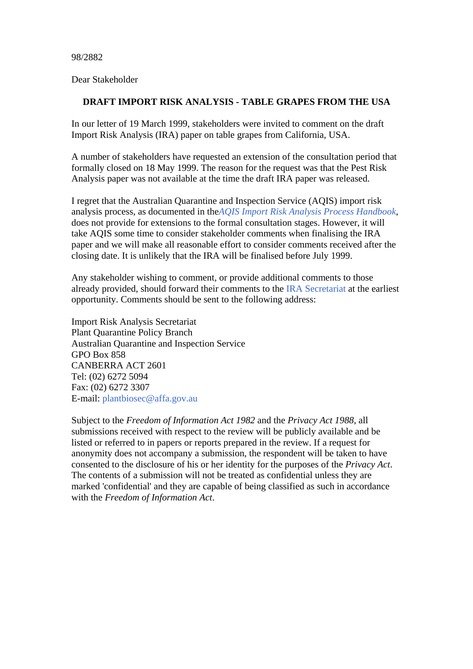98/2882

Dear Stakeholder

## **DRAFT IMPORT RISK ANALYSIS - TABLE GRAPES FROM THE USA**

In our letter of 19 March 1999, stakeholders were invited to comment on the draft Import Risk Analysis (IRA) paper on table grapes from California, USA.

A number of stakeholders have requested an extension of the consultation period that formally closed on 18 May 1999. The reason for the request was that the Pest Risk Analysis paper was not available at the time the draft IRA paper was released.

I regret that the Australian Quarantine and Inspection Service (AQIS) import risk analysis process, as documented in the*AQIS Import Risk Analysis Process Handbook*, does not provide for extensions to the formal consultation stages. However, it will take AQIS some time to consider stakeholder comments when finalising the IRA paper and we will make all reasonable effort to consider comments received after the closing date. It is unlikely that the IRA will be finalised before July 1999.

Any stakeholder wishing to comment, or provide additional comments to those already provided, should forward their comments to the IRA Secretariat at the earliest opportunity. Comments should be sent to the following address:

Import Risk Analysis Secretariat Plant Quarantine Policy Branch Australian Quarantine and Inspection Service GPO Box 858 CANBERRA ACT 2601 Tel: (02) 6272 5094 Fax: (02) 6272 3307 E-mail: plantbiosec@affa.gov.au

Subject to the *Freedom of Information Act 1982* and the *Privacy Act 1988*, all submissions received with respect to the review will be publicly available and be listed or referred to in papers or reports prepared in the review. If a request for anonymity does not accompany a submission, the respondent will be taken to have consented to the disclosure of his or her identity for the purposes of the *Privacy Act*. The contents of a submission will not be treated as confidential unless they are marked 'confidential' and they are capable of being classified as such in accordance with the *Freedom of Information Act*.